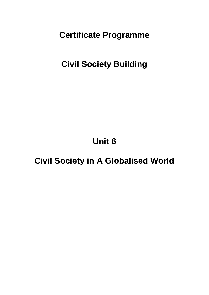**Certificate Programme**

**Civil Society Building**

**Unit 6**

**Civil Society in A Globalised World**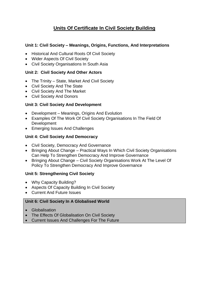# **Units Of Certificate In Civil Society Building**

#### **Unit 1: Civil Society – Meanings, Origins, Functions, And Interpretations**

- Historical And Cultural Roots Of Civil Society
- Wider Aspects Of Civil Society
- Civil Society Organisations In South Asia

### **Unit 2: Civil Society And Other Actors**

- The Trinity State, Market And Civil Society
- Civil Society And The State
- Civil Society And The Market
- Civil Society And Donors

## **Unit 3: Civil Society And Development**

- Development Meanings, Origins And Evolution
- Examples Of The Work Of Civil Society Organisations In The Field Of Development
- Emerging Issues And Challenges

## **Unit 4: Civil Society And Democracy**

- Civil Society, Democracy And Governance
- Bringing About Change Practical Ways In Which Civil Society Organisations Can Help To Strengthen Democracy And Improve Governance
- Bringing About Change Civil Society Organisations Work At The Level Of Policy To Strengthen Democracy And Improve Governance

## **Unit 5: Strengthening Civil Society**

- Why Capacity Building?
- Aspects Of Capacity Building In Civil Society
- Current And Future Issues

#### **Unit 6: Civil Society In A Globalised World**

- Globalisation
- The Effects Of Globalisation On Civil Society
- Current Issues And Challenges For The Future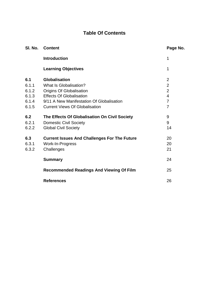# **Table Of Contents**

| SI. No. | <b>Content</b>                                      | Page No.       |
|---------|-----------------------------------------------------|----------------|
|         | <b>Introduction</b>                                 | 1              |
|         | <b>Learning Objectives</b>                          | 1              |
| 6.1     | <b>Globalisation</b>                                | $\overline{2}$ |
| 6.1.1   | What Is Globalisation?                              | $\overline{2}$ |
| 6.1.2   | <b>Origins Of Globalisation</b>                     | $\overline{2}$ |
| 6.1.3   | <b>Effects Of Globalisation</b>                     | $\overline{4}$ |
| 6.1.4   | 9/11 A New Manifestation Of Globalisation           | 7              |
| 6.1.5   | <b>Current Views Of Globalisation</b>               | $\overline{7}$ |
| 6.2     | The Effects Of Globalisation On Civil Society       | 9              |
| 6.2.1   | <b>Domestic Civil Society</b>                       | 9              |
| 6.2.2   | <b>Global Civil Society</b>                         | 14             |
| 6.3     | <b>Current Issues And Challenges For The Future</b> | 20             |
| 6.3.1   | Work-In-Progress                                    | 20             |
| 6.3.2   | Challenges                                          | 21             |
|         | <b>Summary</b>                                      | 24             |
|         | <b>Recommended Readings And Viewing Of Film</b>     | 25             |
|         | <b>References</b>                                   | 26             |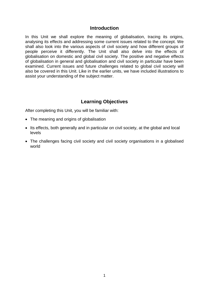### **Introduction**

In this Unit we shall explore the meaning of globalisation, tracing its origins, analysing its effects and addressing some current issues related to the concept. We shall also look into the various aspects of civil society and how different groups of people perceive it differently. The Unit shall also delve into the effects of globalisation on domestic and global civil society. The positive and negative effects of globalisation in general and globalisation and civil society in particular have been examined. Current issues and future challenges related to global civil society will also be covered in this Unit. Like in the earlier units, we have included illustrations to assist your understanding of the subject matter.

## **Learning Objectives**

After completing this Unit, you will be familiar with:

- The meaning and origins of globalisation
- Its effects, both generally and in particular on civil society, at the global and local levels
- The challenges facing civil society and civil society organisations in a globalised world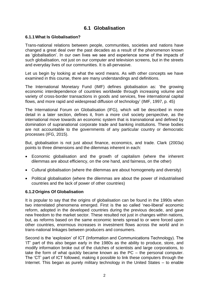## **6.1 Globalisation**

#### **6.1.1What Is Globalisation?**

Trans-national relations between people, communities, societies and nations have changed a great deal over the past decades as a result of the phenomenon known as 'globalisation'. In our own lives we see and experience some of the impacts of such globalisation, not just on our computer and television screens, but in the streets and everyday lives of our communities. It is all-pervasive.

Let us begin by looking at what the word means. As with other concepts we have examined in this course, there are many understandings and definitions.

The International Monetary Fund (IMF) defines globalisation as: 'the growing economic interdependence of countries worldwide through increasing volume and variety of cross-border transactions in goods and services, free international capital flows, and more rapid and widespread diffusion of technology' (IMF, 1997, p. 45)

The International Forum on Globalisation (IFG), which will be described in more detail in a later section, defines it, from a more civil society perspective, as the international move towards an economic system that is transnational and defined by domination of supranational corporate trade and banking institutions. These bodies are not accountable to the governments of any particular country or democratic processes (IFG, 2015).

But, globalisation is not just about finance, economics, and trade. Clark (2003a) points to three dimensions and the dilemmas inherent in each:

- Economic globalisation and the growth of capitalism (where the inherent dilemmas are about efficiency, on the one hand, and fairness, on the other)
- Cultural globalisation (where the dilemmas are about homogeneity and diversity)
- Political globalisation (where the dilemmas are about the power of industrialised countries and the lack of power of other countries)

#### **6.1.2Origins Of Globalisation**

It is popular to say that the origins of globalisation can be found in the 1990s when two interrelated phenomena emerged. First is the so called 'neo-liberal' economic reform, adopted in the developed countries during the previous decade, and gave new freedom to the market sector. These resulted not just in changes within nations, but, as reforms based on the same economic tenets spread to or were forced upon other countries, enormous increases in investment flows across the world and in trans-national linkages between producers and consumers.

Second is the 'explosion' of ICT (Information and Communications Technology). The 'IT' part of this also began early in the 1980s as the ability to produce, store, and modify information broke out of the clutches of scientists and large corporations, to take the form of what quickly became known as the PC – the personal computer. The 'CT' part of ICT followed, making it possible to link these computers through the Internet. This began as purely military technology in the United States – to enable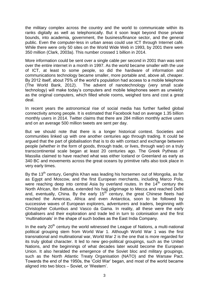the military complex across the country and the world to communicate within its ranks digitally as well as telephonically. But it soon leapt beyond those private bounds, into academia, government, the business/finance sector, and the general public. Even the computer-less in urban areas could use ICT through Internet café. While there were only 50 sites on the World Wide Web in 1993, by 2001 there were 350 million (Clark, 2003a). This number crossed 1 billion in 2014.

More information could be sent over a single cable per second in 2001 than was sent over the entire internet in a month in 1997. As the world became smaller with the use of ICT, at least to some people, so did the hardware of information and communications technology became smaller, more portable and, above all, cheaper. By 2012 itself, about 75% of the world's population had access to a mobile telephone (The World Bank, 2012). The advent of nanotechnology (very small scale technology) will make today's computers and mobile telephones seem as unwieldy as the original computers, which filled whole rooms, weighed tons and cost a great deal.

In recent years the astronomical rise of social media has further fuelled global connectivity among people. It is estimated that Facebook had on average 1.35 billion monthly users in 2014. Twitter claims that there are 284 million monthly active users and on an average 500 million tweets are sent per day.

But we should note that there is a longer historical context. Societies and communities linked up with one another centuries ago through trading. It could be argued that the part of globalisation that is to do with contact and exchange between people (whether in the form of goods, through trade, or lives, through war) on a truly transcontinental scale began at least 20 centuries ago. The Greek Pytheas of Massilia claimed to have reached what was either Iceland or Greenland as early as 340 BC and movements across the great oceans by primitive rafts also took place in very early times.

By the 13<sup>th</sup> century, Genghis Khan was leading his horsemen out of Mongolia, as far as Egypt and Moscow, and the first European merchants, including Marco Polo, were reaching deep into central Asia by overland routes. In the  $14<sup>th</sup>$  century the North African, Ibn Battuta, extended his hajj pilgrimage to Mecca and reached Delhi and, eventually, China. By the early 15<sup>th</sup> century, the great Chinese fleets had reached the Americas, Africa and even Antarctica, soon to be followed by successive waves of European explorers, adventurers and traders, beginning with Christopher Columbus and Vasco da Gama. In reality, all these were the early globalisers and their exploration and trade led in turn to colonisation and the first 'multinationals' in the shape of such bodies as the East India Company.

In the early  $20<sup>th</sup>$  century the world witnessed the League of Nations, a multi-national political grouping stem from World War 1. Although World War 1 was the first transnational and multinational war, World War 2 is the one that is more regarded for its truly global character. It led to new geo-political groupings, such as the United Nations, and the beginnings of what decades later would become the European Union. It also heralded the emergence of the Soviet bloc and military groupings, such as the North Atlantic Treaty Organisation (NATO) and the Warsaw Pact. Towards the end of the 1950s, the 'Cold War' began, and most of the world became aligned into two blocs – Soviet, or 'Western'.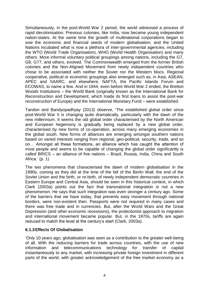Simultaneously, in the post-World War 2 period, the world witnessed a process of rapid decolonisation. Previous colonies, like India, now became young independent nation-states. At the same time the growth of multinational corporations began to sow the economic and financial seeds of modern globalisation; and the United Nations incubated what is now a plethora of inter-governmental agencies, including the WTO (World Trade Organisation), WHO (World Health Organisation) and many others. More informal voluntary political groupings among nations, including the G7, G8, G77, and others, evolved. The Commonwealth emerged from the former British colonies and the Non-Aligned Movement from newly independent countries who chose to be associated with neither the Soviet nor the Western blocs. Regional cooperative, political or economic groupings also emerged such as, in Asia, ASEAN, APEC and SAARC, and elsewhere, NAFTA, the Pacific Islands Forum and ECOWAS, to name a few. And in 1944, even before World War 2 ended, the Bretton Woods Institutions – the World Bank (originally known as the International Bank for Reconstruction and Development, which made its first loans to assist the post-war reconstruction of Europe) and the International Monetary Fund – were established.

Tandon and Bandyopadhyay (2013) observe, 'The established global order since post-World War II is changing quite dramatically, particularly with the dawn of the new millennium. It seems the old global order characterised by the North American and European hegemony is gradually being replaced by a new global order, characterised by new forms of co-operation, across many emerging economies in the global south. New forms of alliances are emerging amongst southern nations based on varied interests ranging from regional, geo-political, security, trade, and so on… Amongst all these formations, an alliance which has caught the attention of most people and seems to be capable of changing the global order significantly is called BRICS – an alliance of five nations – Brazil, Russia, India, China and South Africa.' (p. 1)

The two phenomena that characterised the dawn of modern globalisation in the 1990s, coming as they did at the time of the fall of the Berlin Wall, the end of the Soviet Union and the birth, or re-birth, of newly independent democratic countries in Eastern Europe and Central Asia, should be seen in this historical context, in which Clark (2003a) points out the fact that transnational integration is not a new phenomenon. He says that such integration was even stronger a century ago. Some of the barriers that we have today, that prevents easy movement through national borders, were non-existent then. Passports were not required in many cases and there was free trade and in currencies. But, after the World Wars and the Great Depression (and other economic recessions), the protectionist approach to migration and international movement became popular. But, in the 1970s, tariffs are again reduced to match the level at the century's start (Clark, 2003a).

#### **6.1.3Effects Of Globalisation**

'Only 10 years ago, globalisation was seen as a contribution to the greater well-being of all. With the reducing barriers for trade across countries, with the use of new information and telecommunications technology for transfer of capital instantaneously to any market, with increasing private foreign investment in different parts of the world, with greater acknowledgement of the free market economy as a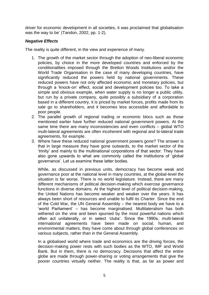driver for economic development in all societies, it was proclaimed that globalisation was the way to be' (Tandon, 2002, pp. 1-2).

## *Negative Effects*

The reality is quite different, in the view and experience of many.

- 1. The growth of the market sector through the adoption of neo-liberal economic policies, by choice in the more developed countries and enforced by the conditionalities imposed through the Bretton Woods Institutions and/or the World Trade Organisation in the case of many developing countries, have significantly reduced the powers held by national governments. These reduced powers have not only affected economic and monetary policies, but through a 'knock-on' effect, social and development policies too. To take a simple and obvious example, when water supply is no longer a public utility, but run by a private company, quite possibly a subsidiary of a corporation based in a different country, it is priced by market forces, profits made from its sale go to shareholders, and it becomes less accessible and affordable to poor people.
- 2. The parallel growth of regional trading or economic blocs such as those mentioned earlier have further reduced national government powers. At the same time there are many inconsistencies and even conflicts – global WTO multi-lateral agreements are often incoherent with regional and bi-lateral trade agreements, for example.
- 3. Where have these reduced national government powers gone? The answer is that in large measure they have gone outwards, to the market sector of the 'trinity' and mainly to the multinational corporations of that sector. They have also gone upwards to what are commonly called the institutions of 'global governance'. Let us examine these latter bodies.

While, as discussed in previous units, democracy has become weak and governance poor at the national level in many countries, at the global-level the situation is far worse. There is no world legislature. Instead, there are many different mechanisms of political decision-making which exercise governance functions in diverse domains. At the highest level of political decision-making, the United Nations has become weaker and weaker over the years. It has always been short of resources and unable to fulfil its Charter. Since the end of the Cold War, the UN General Assembly – the nearest body we have to a 'world Parliament' – has become marginalised. Multilateralism has both withered on the vine and been spurned by the most powerful nations which often act unilaterally, or in select 'clubs'. Since the 1990s, multi-lateral international agreements have been made on social, human, and environmental matters, they have come about through global conferences on various subjects, rather than in the General Assembly.

In a globalised world where trade and economics are the driving forces, the decision-making power rests with such bodies as the WTO, IMF and World Bank. But in them, there is no democracy. Decisions that affect the entire globe are made through power-sharing or voting arrangements that give the poorer countries virtually neither. The reality is that, as far as power and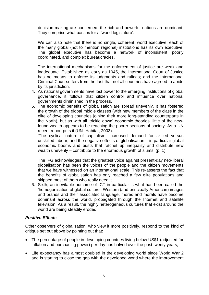decision-making are concerned, the rich and powerful nations are dominant. They comprise what passes for a 'world legislature'.

We can also note that there is no single, coherent, world executive: each of the many global (not to mention regional) institutions has its own executive. The global executive has become a network of inconsistent, poorly coordinated, and complex bureaucracies.

The international mechanisms for the enforcement of justice are weak and inadequate. Established as early as 1945, the International Court of Justice has no means to enforce its judgments and rulings; and the International Criminal Court suffers from the fact that not all countries have agreed to abide by its jurisdiction.

- 4. As national governments have lost power to the emerging institutions of global governance, it follows that citizen control and influence over national governments diminished in the process.
- 5. The economic benefits of globalisation are spread unevenly. It has fostered the growth of the global middle classes (with new members of the class in the elite of developing countries joining their more long-standing counterparts in the North), but as with all 'trickle down' economic theories, little of the newfound wealth appears to be reaching the poorer sections of society. As a UN recent report puts it (UN- Habitat, 2003):

'The cyclical nature of capitalism, increased demand for skilled versus unskilled labour, and the negative effects of globalisation – in particular global economic booms and busts that ratchet up inequality and distribute new wealth unevenly – contribute to the enormous growth of slums' (p. 1).

The IFG acknowledges that the greatest voice against present-day neo-liberal globalisation has been the voices of the people and the citizen movements that we have witnessed on an international scale. This re-asserts the fact that the benefits of globalisation has only reached a few elite populations and skipped most of them who really need it.

6. Sixth, an inevitable outcome of ICT in particular is what has been called the 'homogenisation of global culture'. Western (and principally American) images and brands and their associated language, mores and morals have become dominant across the world, propagated through the Internet and satellite television. As a result, the highly heterogeneous cultures that exist around the world are being steadily eroded.

#### *Positive Effects*

Other observers of globalisation, who view it more positively, respond to the kind of critique set out above by pointing out that:

- The percentage of people in developing countries living below US\$1 (adjusted for inflation and purchasing power) per day has halved over the past twenty years;
- Life expectancy has almost doubled in the developing world since [World War 2](http://en.wikipedia.org/wiki/World_War_II) and is starting to close the gap with the developed world where the improvement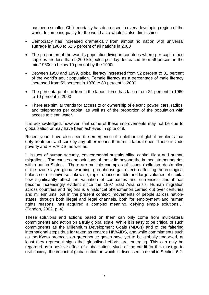has been smaller. [Child mortality](http://en.wikipedia.org/wiki/Child_mortality) has decreased in every developing region of the world. [Income inequality](http://en.wikipedia.org/wiki/Income_inequality) for the world as a whole is also diminishing

- Democracy has increased dramatically from almost no nation with [universal](http://en.wikipedia.org/wiki/Universal_suffrage)  [suffrage](http://en.wikipedia.org/wiki/Universal_suffrage) in [1900](http://en.wikipedia.org/wiki/1900) to 62.5 percent of all nations in [2000](http://en.wikipedia.org/wiki/2000)
- The proportion of the world's population living in countries where per capita food supplies are less than 9,200 kilojoules per day decreased from 56 percent in the mid[-1960s](http://en.wikipedia.org/wiki/1960s) to below 10 percent by the [1990s](http://en.wikipedia.org/wiki/1990s)
- Between [1950](http://en.wikipedia.org/wiki/1950) and [1999,](http://en.wikipedia.org/wiki/1999) global literacy increased from 52 percent to 81 percent of the world's adult population. Female literacy as a percentage of male literacy increased from 59 percent in [1970](http://en.wikipedia.org/wiki/1970) to 80 percent in 2000
- The percentage of children in the labour force has fallen from 24 percent in 1960 to 10 percent in 2000
- There are similar trends for access to or ownership of electric power, cars, radios, and telephones per capita, as well as of the proportion of the population with access to clean water.

It is acknowledged, however, that some of these improvements may not be due to globalisation or may have been achieved in spite of it.

Recent years have also seen the emergence of a plethora of global problems that defy treatment and cure by any other means than multi-lateral ones. These include poverty and HIV/AIDS, as well as:

'…issues of human security, environmental sustainability, capital flight and human migration… The causes and solutions of these lie beyond the immediate boundaries within nation-States… There are multiple examples of issues (pollution, destruction of the ozone layer, global warming, greenhouse gas effects) affecting the ecological balance of our universe. Likewise, rapid, unaccountable and large volumes of capital flow significantly affect the valuation of companies and currencies, and it has become increasingly evident since the 1997 East Asia crisis. Human migration across countries and regions is a historical phenomenon carried out over centuries and millenniums, but in the present context, movements of people across nationstates, through both illegal and legal channels, both for employment and human rights reasons, has acquired a complex meaning, defying simple solutions…' (Tandon, 2002, p. 4).

These solutions and actions based on them can only come from multi-lateral commitments and action on a truly global scale. While it is easy to be critical of such commitments as the Millennium Development Goals (MDGs) and of the faltering international steps thus far taken as regards HIV/AIDS, and while commitments such as the Kyoto protocols on greenhouse gases have yet to be globally endorsed, at least they represent signs that globalised efforts are emerging. This can only be regarded as a positive effect of globalisation. Much of the credit for this must go to civil society, the impact of globalisation on which is discussed in detail in Section 6.2.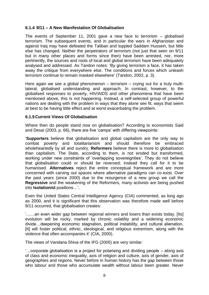#### **6.1.4 9/11 – A New Manifestation Of Globalisation**

The events of September 11, 2001 gave a new face to terrorism – globalised terrorism. The subsequent events, and in particular the wars in Afghanistan and against Iraq may have defeated the Taliban and toppled Saddam Hussein, but little else has changed. Neither the perpetrators of terrorism (not just that seen on 9/11 but in many other places and forms since then) have been arrested, nor, more pertinently, the sources and roots of local and global terrorism have been adequately analysed and addressed. As Tandon notes: 'By giving terrorism a face, it has taken away the critique from everywhere else. The conditions and forces which unleash terrorism continue to remain masked elsewhere' (Tandon, 2002, p. 3).

Here again we see a global phenomenon – terrorism – crying out for a truly multilateral, globalised understanding and approach. In contrast, however, to the globalised responses to poverty, HIV/AIDS and other phenomena that have been mentioned above, this is not happening. Instead, a self-selected group of powerful nations are dealing with the problem in ways that they alone see fit, ways that seem at best to be having little effect and at worst exacerbating the problem.

#### **6.1.5Current Views Of Globalisation**

Where then do people stand now on globalisation? According to economists Said and Desai (2003, p. 66), there are five 'camps' with differing viewpoints:

'**Supporters** believe that globalisation and global capitalism are the only way to combat poverty and totalitarianism and should therefore be embraced wholeheartedly by all and sundry. **Reformers** believe there is more to globalisation than capitalism. The State, according to them, is not eroded but transformed, working under new constraints of 'overlapping sovereignties'. They do not believe that globalisation could or should be reversed; instead they call for it to be humanised. **Alternatives** reject the entire conceptual framework and are more concerned with carving out spaces where alternative paradigms can co-exist. Over the past years (since 2000) due to the resurgence of a new group we call the **Regressive** and the weakening of the Reformers, many activists are being pushed into **Isolationist** positions…'.

Even the United States Central Intelligence Agency (CIA) commented, as long ago as 2000, and it is significant that this observation was therefore made well before 9/11 occurred, that globalisation creates:

'……an even wider gap between regional winners and losers than exists today. [Its] evolution will be rocky, marked by chronic volatility and a widening economic divide…deepening economic stagnation, political instability, and cultural alienation. [It] will foster political, ethnic, ideological, and religious extremism, along with the violence that often accompanies it' (CIA, 2000).

The views of Vandana Shiva of the IFG (2005) are very similar:

'…corporate globalisation is a project for polarising and dividing people – along axis of class and economic inequality, axis of religion and culture, axis of gender, axis of geographies and regions. Never before in human history has the gap between those who labour and those who accumulate wealth without labour been greater. Never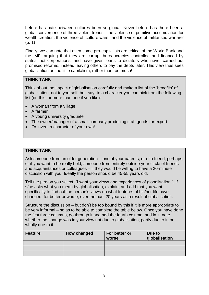before has hate between cultures been so global. Never before has there been a global convergence of three violent trends - the violence of primitive accumulation for wealth creation, the violence of 'culture wars', and the violence of militarised warfare' (p. 1)

Finally, we can note that even some pro-capitalists are critical of the World Bank and the IMF, arguing that they are corrupt bureaucracies controlled and financed by states, not corporations, and have given loans to dictators who never carried out promised reforms, instead leaving others to pay the debts later. This view thus sees globalisation as too little capitalism, rather than too much!

#### **THINK TANK**

Think about the impact of globalisation carefully and make a list of the 'benefits' of globalisation, not to yourself, but, say, to a character you can pick from the following list (do this for more than one if you like):

- A woman from a village
- A farmer
- A young university graduate
- The owner/manager of a small company producing craft goods for export
- Or invent a character of your own!

#### **THINK TANK**

Ask someone from an older generation – one of your parents, or of a friend, perhaps, or if you want to be really bold, someone from entirely outside your circle of friends and acquaintances or colleagues – if they would be willing to have a 30-minute discussion with you. Ideally the person should be 45-55 years old.

Tell the person you select, "I want your views and experiences of globalisation,". If s/he asks what you mean by globalisation, explain, and add that you want specifically to find out the person's views on what features of his/her life have changed, for better or worse, over the past 20 years as a result of globalisation.

Structure the discussion – but don't be too bound by this if it is more appropriate to be very informal – so as to be able to complete the table below. Once you have done the first three columns, go through it and add the fourth column, and in it, note whether the change was in your view not due to globalisation, partly due to it, or wholly due to it.

| <b>Feature</b> | How changed | For better or<br>worse | Due to<br>globalisation |
|----------------|-------------|------------------------|-------------------------|
|                |             |                        |                         |
|                |             |                        |                         |
|                |             |                        |                         |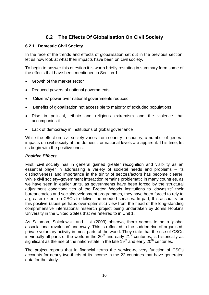# **6.2 The Effects Of Globalisation On Civil Society**

#### **6.2.1 Domestic Civil Society**

In the face of the trends and effects of globalisation set out in the previous section, let us now look at what their impacts have been on civil society.

To begin to answer this question it is worth briefly restating in summary form some of the effects that have been mentioned in Section 1:

- Growth of the market sector
- Reduced powers of national governments
- Citizens' power over national governments reduced
- Benefits of globalisation not accessible to majority of excluded populations
- Rise in political, ethnic and religious extremism and the violence that accompanies it
- Lack of democracy in institutions of global governance

While the effect on civil society varies from country to country, a number of general impacts on civil society at the domestic or national levels are apparent. This time, let us begin with the positive ones.

#### *Positive Effects*

First, civil society has in general gained greater recognition and visibility as an essential player in addressing a variety of societal needs and problems – its distinctiveness and importance in the trinity of sectors/actors has become clearer. While civil society–government interaction remains problematic in many countries, as we have seen in earlier units, as governments have been forced by the structural adjustment conditionalities of the Bretton Woods Institutions to 'downsize' their bureaucracies and social/development programmes, they have been forced to rely to a greater extent on CSOs to deliver the needed services. In part, this accounts for this positive (albeit perhaps over-optimistic) view from the head of the long-standing comprehensive international research project being undertaken by Johns Hopkins University in the United States that we referred to in Unit 1.

As Salamon, Sokolowski and List (2003) observe, there seems to be a 'global associational revolution' underway. This is reflected in the sudden rise of organised, private voluntary activity in most parts of the world. They state that the rise of CSOs in virtually all parts of the world in the  $20<sup>th</sup>$  and early  $21<sup>st</sup>$  centuries, is historically as significant as the rise of the nation-state in the late  $19<sup>th</sup>$  and early  $20<sup>th</sup>$  centuries.

The project reports that in financial terms the service-delivery function of CSOs accounts for nearly two-thirds of its income in the 22 countries that have generated data for the study.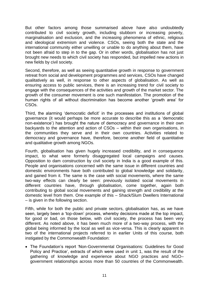But other factors among those summarised above have also undoubtedly contributed to civil society growth, including stubborn or increasing poverty, marginalisation and exclusion, and the increasing phenomena of ethnic, religious and ideological extremism and violence. CSOs, seeing both the state and the international community either unwilling or unable to do anything about them, have not been afraid to step in to the gap. Or in other words, globalisation has not just brought new needs to which civil society has responded, but impelled new actions in new fields by civil society.

Second, therefore, as well as seeing quantitative growth in response to government retreat from social and development programmes and services, CSOs have changed qualitatively as well, in response to other aspects of globalisation. As well as ensuring access to public services, there is an increasing trend for civil society to engage with the consequences of the activities and growth of the market sector. The growth of the consumer movement is one such manifestation. The promotion of the human rights of all without discrimination has become another 'growth area' for CSOs.

Third, the alarming 'democratic deficit' in the processes and institutions of global governance (it would perhaps be more accurate to describe this as a 'democratic non-existence') has brought the nature of democracy and governance in their own backyards to the attention and action of CSOs – within their own organisations, in the communities they serve and in their own countries. Activities related to democracy and governance have, therefore, become another field of quantitative and qualitative growth among NGOs.

Fourth, globalisation has given hugely increased credibility, and in consequence impact, to what were formerly disaggregated local campaigns and causes. Opposition to dam construction by civil society in India is a good example of this. People and organisations concerned with the same issue in different countries and domestic environments have both contributed to global knowledge and solidarity, and gained from it. The same is the case with social movements, where the same two-way effects can clearly be seen: previously isolated social movements in different countries have, through globalisation, come together, again both contributing to global social movements and gaining strength and credibility at the domestic level from them. One example of this – Shack/Slum Dwellers International – is given in the following section.

Fifth, while for both the public and private sectors, globalisation has, as we have seen, largely been a 'top-down' process, whereby decisions made at the top impact, for good or bad, on those below, with civil society, the process has been very different. As noted above, it has been much more of a two-way process, with the global being informed by the local as well as vice-versa. This is clearly apparent in two of the international projects referred to in earlier Units of this course, both instigated by the Commonwealth Foundation:

 The Foundation's report 'Non-Governmental Organisations: Guidelines for Good Policy and Practice', extracts of which were used in unit 1, was the result of the gathering of knowledge and experience about NGO practices and NGO– government relationships across more than 50 countries of the Commonwealth.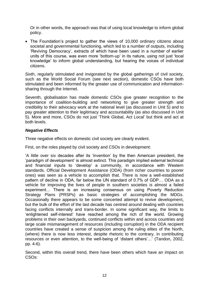Or in other words, the approach was that of using local knowledge to inform global policy.

 The Foundation's project to gather the views of 10,000 ordinary citizens about societal and governmental functioning, which led to a number of outputs, including 'Reviving Democracy', extracts of which have been used in a number of earlier units of this course, was even more 'bottom-up' in its nature, using not just 'local knowledge' to inform global understanding, but hearing the voices of individual citizens.

Sixth, regularly stimulated and invigorated by the global gatherings of civil society, such as the World Social Forum (see next section), domestic CSOs have both stimulated and been informed by the greater use of communication and informationsharing through the Internet.

Seventh, globalisation has made domestic CSOs give greater recognition to the importance of coalition-building and networking to give greater strength and credibility to their advocacy work at the national level (as discussed in Unit 5) and to pay greater attention to their legitimacy and accountability (as also discussed in Unit 5). More and more, CSOs do not just 'Think Global, Act Local' but think and act at both levels.

#### *Negative Effects*

Three negative effects on domestic civil society are clearly evident.

First, on the roles played by civil society and CSOs in development:

'A little over six decades after its 'invention' by the then American president, the 'paradigm of development' is almost extinct. This paradigm implied external technical and financial inputs to 'develop' a community, in accordance with Western standards. Official Development Assistance (ODA) (from richer countries to poorer ones) was seen as a vehicle to accomplish that. There is now a well-established pattern of decline in ODA, far below the UN standard of 0.7% of GDP… ODA as a vehicle for improving the lives of people in southern societies is almost a failed experiment… There is an increasing consensus on using Poverty Reduction Strategy Plans (PRSPs) as basic strategies of accomplishing the MDGs. Occasionally there appears to be some concerted attempt to revive development, but the bulk of the effort of the last decade has centred around dealing with countries facing conflicts internally and trans-border. In some significant way, the limits to 'enlightened self-interest' have reached among the rich of the world. Growing problems in their own backyards, continued conflicts within and across countries and large scale mismanagement of resources (including corruption) in the ODA recipient countries have created a sense of suspicion among the ruling elites of the North, (where) there is now less interest, despite rhetoric to the contrary, in contributing resources or even attention, to the well-being of 'distant others'…' (Tandon, 2002, pp. 4-6).

Second, within this overall trend, there have been others which have an impact on CSOs: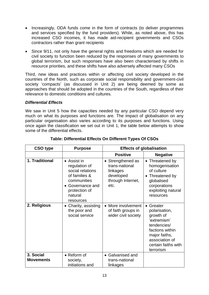- Increasingly, ODA funds come in the form of contracts (to deliver programmes and services specified by the fund providers). While, as noted above, this has increased CSO incomes, it has made aid-recipient governments and CSOs contractors rather than grant recipients
- Since 9/11, not only have the general rights and freedoms which are needed for civil society to function been reduced by the responses of many governments to global terrorism, but such responses have also been characterised by shifts in resource priorities, and these shifts have also adversely affected many CSOs

Third, new ideas and practices within or affecting civil society developed in the countries of the North, such as corporate social responsibility and government-civil society 'compacts' (as discussed in Unit 2) are being deemed by some as approaches that should be adopted in the countries of the South, regardless of their relevance to domestic conditions and cultures.

#### *Differential Effects*

We saw in Unit 5 how the capacities needed by any particular CSO depend very much on what its purposes and functions are. The impact of globalisation on any particular organisation also varies according to its purposes and functions. Using once again the classification we set out in Unit 1, the table below attempts to show some of the differential effects.

| <b>CSO type</b>               | <b>Purpose</b>                                                                                                                              | <b>Effects of globalisation</b>                                                           |                                                                                                                                                               |
|-------------------------------|---------------------------------------------------------------------------------------------------------------------------------------------|-------------------------------------------------------------------------------------------|---------------------------------------------------------------------------------------------------------------------------------------------------------------|
|                               |                                                                                                                                             | <b>Positive</b>                                                                           | <b>Negative</b>                                                                                                                                               |
| 1. Traditional                | • Assist in<br>regulation of<br>social relations<br>of families &<br>communities<br>Governance and<br>protection of<br>natural<br>resources | • Strengthened as<br>trans-national<br>linkages<br>developed<br>through Internet,<br>etc. | • Threatened by<br>homogenisation<br>of culture<br>• Threatened by<br>globalised<br>corporations<br>exploiting natural<br>resources                           |
| 2. Religious                  | Charity, assisting<br>the poor and<br>social service                                                                                        | More involvement<br>of faith groups in<br>wider civil society                             | Greater<br>polarisation,<br>growth of<br>'extremism'<br>tendencies/<br>factions within<br>major faiths,<br>association of<br>certain faiths with<br>terrorism |
| 3. Social<br><b>Movements</b> | • Reform of<br>society,<br>initiations and                                                                                                  | • Galvanised and<br>trans-national<br>linkages                                            |                                                                                                                                                               |

#### **Table: Differential Effects On Different Types Of CSOs**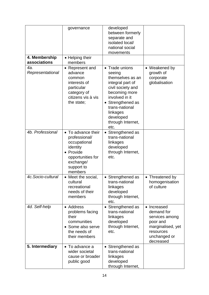|                               | governance                                                                                                                            | developed<br>between formerly<br>separate and<br>isolated local/<br>national social<br>movements                                                                                                                    |                                                                                                                        |
|-------------------------------|---------------------------------------------------------------------------------------------------------------------------------------|---------------------------------------------------------------------------------------------------------------------------------------------------------------------------------------------------------------------|------------------------------------------------------------------------------------------------------------------------|
| 4. Membership<br>associations | • Helping their<br>members                                                                                                            |                                                                                                                                                                                                                     |                                                                                                                        |
| 4a.<br>Representational       | • Represent and<br>advance<br>common<br>interests of<br>particular<br>category of<br>citizens vis à vis<br>the state;                 | • Trade unions<br>seeing<br>themselves as an<br>integral part of<br>civil society and<br>becoming more<br>involved in it<br>Strengthened as<br>trans-national<br>linkages<br>developed<br>through Internet,<br>etc. | • Weakened by<br>growth of<br>corporate<br>globalisation                                                               |
| 4b. Professional              | • To advance their<br>professional/<br>occupational<br>identity<br>Provide<br>opportunities for<br>exchange/<br>support to<br>members | Strengthened as<br>trans-national<br>linkages<br>developed<br>through Internet,<br>etc.                                                                                                                             |                                                                                                                        |
| 4c.Socio-cultural             | • Meet the social,<br>cultural<br>recreational<br>needs of their<br>members                                                           | • Strengthened as<br>trans-national<br>linkages<br>developed<br>through Internet,<br>etc.                                                                                                                           | • Threatened by<br>homogenisation<br>of culture                                                                        |
| 4d. Self-help                 | • Address<br>problems facing<br>their<br>communities<br>Some also serve<br>the needs of<br>their members                              | • Strengthened as<br>trans-national<br>linkages<br>developed<br>through Internet,<br>etc.                                                                                                                           | • Increased<br>demand for<br>services among<br>poor and<br>marginalised, yet<br>resources<br>unchanged or<br>decreased |
| 5. Intermediary               | • To advance a<br>wider societal<br>cause or broader<br>public good                                                                   | • Strengthened as<br>trans-national<br>linkages<br>developed<br>through Internet,                                                                                                                                   |                                                                                                                        |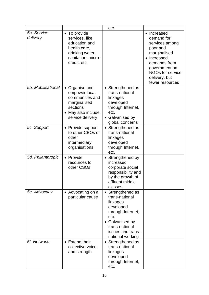|                         |                                                                                                                          | etc.                                                                                                                                                                               |                                                                                                                                                                                      |
|-------------------------|--------------------------------------------------------------------------------------------------------------------------|------------------------------------------------------------------------------------------------------------------------------------------------------------------------------------|--------------------------------------------------------------------------------------------------------------------------------------------------------------------------------------|
| 5a. Service<br>delivery | • To provide<br>services, like<br>education and<br>health care,<br>drinking water,<br>sanitation, micro-<br>credit, etc. |                                                                                                                                                                                    | • Increased<br>demand for<br>services among<br>poor and<br>marginalised<br>Increased<br>demands from<br>government on<br><b>NGOs for service</b><br>delivery, but<br>fewer resources |
| 5b. Mobilisational      | • Organise and<br>empower local<br>communities and<br>marginalised<br>sections<br>May also include<br>service delivery   | • Strengthened as<br>trans-national<br>linkages<br>developed<br>through Internet,<br>etc.<br>• Galvanised by<br>global concerns                                                    |                                                                                                                                                                                      |
| 5c. Support             | • Provide support<br>to other CBOs or<br>other<br>intermediary<br>organisations                                          | • Strengthened as<br>trans-national<br>linkages<br>developed<br>through Internet,<br>etc.                                                                                          |                                                                                                                                                                                      |
| 5d. Philanthropic       | • Provide<br>resources to<br>other CSOs                                                                                  | • Strengthened by<br>increased<br>corporate social<br>responsibility and<br>by the growth of<br>affluent middle<br>classes                                                         |                                                                                                                                                                                      |
| 5e. Advocacy            | • Advocating on a<br>particular cause                                                                                    | Strengthened as<br>$\bullet$<br>trans-national<br>linkages<br>developed<br>through Internet,<br>etc.<br>• Galvanised by<br>trans-national<br>issues and trans-<br>national working |                                                                                                                                                                                      |
| 5f. Networks            | • Extend their<br>collective voice<br>and strength                                                                       | • Strengthened as<br>trans-national<br>linkages<br>developed<br>through Internet,<br>etc.                                                                                          |                                                                                                                                                                                      |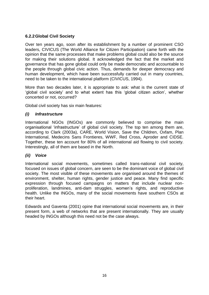## **6.2.2Global Civil Society**

Over ten years ago, soon after its establishment by a number of prominent CSO leaders, CIVICUS (The World Alliance for Citizen Participation) came forth with the opinion that the same processes that make problems global could also be the source for making their solutions global. It acknowledged the fact that the market and governance that has gone global could only be made democratic and accountable to the people through global civic action. Thus, demands for deeper democracy and human development, which have been successfully carried out in many countries, need to be taken to the international platform (CIVICUS, 1994).

More than two decades later, it is appropriate to ask: what is the current state of 'global civil society' and to what extent has this 'global citizen action', whether concerted or not, occurred?

Global civil society has six main features:

#### *(i) Infrastructure*

International NGOs (INGOs) are commonly believed to comprise the main organisational 'infrastructure' of global civil society. The top ten among them are, according to Clark (2003a), CARE, World Vision, Save the Children, Oxfam, Plan International, Medecins Sans Frontieres, WWF, Red Cross, Aproder and CIDSE. Together, these ten account for 80% of all international aid flowing to civil society. Interestingly, all of them are based in the North.

#### *(ii) Voice*

International social movements, sometimes called trans-national civil society, focused on issues of global concern, are seen to be the dominant voice of global civil society. The most visible of these movements are organised around the themes of environment, shelter, human rights, gender justice and peace. Many find specific expression through focused campaigns on matters that include nuclear nonproliferation, landmines, anti-dam struggles, women's rights, and reproductive health. Unlike the INGOs, many of the social movements have southern CSOs at their heart.

Edwards and Gaventa (2001) opine that international social movements are, in their present form, a web of networks that are present internationally. They are usually headed by INGOs although this need not be the case always.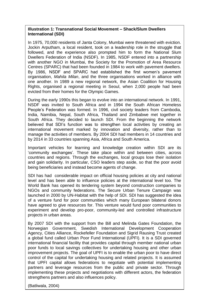#### **Illustration 1: Transnational Social Movement – Shack/Slum Dwellers International (SDI)**

In 1975, 70,000 residents of Janta Colony, Mumbai were threatened with eviction. Jockin Arputham, a local resident, took on a leadership role in the struggle that followed, and the experience also prompted him to form the National Slum Dwellers Federation of India (NSDF). In 1985, NSDF entered into a partnership with another NGO in Mumbai, the Society for the Promotion of Area Resource Centres (SPARC) that had been founded in 1984 to work with pavement dwellers. By 1986, NSDF and SPARC had established the first women's pavement organisation, *Mahila Milan*, and the three organisations worked in alliance with one another. In 1989 a new regional network, the Asian Coalition for Housing Rights, organised a regional meeting in Seoul, when 2,000 people had been evicted from their homes for the Olympic Games.

During the early 1990s this began to evolve into an international network. In 1991, NSDF was invited to South Africa and in 1994 the South African Homeless People's Federation was formed. In 1996, civil society leaders from Cambodia, India, Namibia, Nepal, South Africa, Thailand and Zimbabwe met together in South Africa. They decided to launch SDI. From the beginning the network believed that SDI's function was to strengthen local activities by creating an international movement marked by innovation and diversity, rather than to manage the activities of members. By 2004 SDI had members in 14 countries and by 2014 in 33 countries spanning Asia, Africa and South America.

Important vehicles for learning and knowledge creation within SDI are its 'community exchanges'. These take place within and between cities, across countries and regions. Through the exchanges, local groups lose their isolation and gain solidarity. In particular, CSO leaders step aside, so that the poor avoid being beneficiaries and instead become agents of change.

SDI has had considerable impact on official housing policies at city and national level and has been able to influence policies at the international level too. The World Bank has opened its tendering system beyond construction companies to NGOs and community federations. The Secure Urban Tenure Campaign was launched in 2000 by UN-Habitat with the help of SDI. SDI has suggested the idea of a venture fund for poor communities which many European bilateral donors have agreed to give resources for. This venture would fund poor communities to experiment and develop pro-poor, community-led and controlled infrastructure projects in urban areas.

mpromorning arece projects and regenements in<br>strengthens partners and also influences policy. By 2007 SDI with the support from the Bill and Melinda Gates Foundation, the Norwegian Government, Swedish International Development Cooperation Agency, Cities Alliance, Rockefeller Foundation and Sigrid Rausing Trust created a global fund called Urban Poor Fund International (UPFI). It is a SDI governed international financial facility that provides capital through member national urban poor funds to local savings collectives for undertaking housing and other urban improvement projects. The goal of UPFI is to enable the urban poor to have direct control of the capital for undertaking housing and related projects. It is assumed that UPFI capital allows federations to negotiate with potential implementing partners and leverage resources from the public and private sector. Through implementing these projects and negotiations with different actors, the federation

(Batliwala, 2004)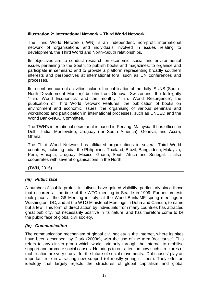#### **Illustration 2: International Network – Third World Network**

The Third World Network (TWN) is an independent, non-profit international network of organisations and individuals involved in issues relating to development, the Third World and North–South relationships.

Its objectives are to conduct research on economic, social and environmental issues pertaining to the South; to publish books and magazines; to organise and participate in seminars; and to provide a platform representing broadly southern interests and perspectives at international fora, such as UN conferences and processes.

Its recent and current activities include: the publication of the daily 'SUNS (South– North Development Monitor)' bulletin from Geneva, Switzerland, the fortnightly 'Third World Economics' and the monthly 'Third World Resurgence'; the publication of Third World Network Features; the publication of books on environment and economic issues; the organising of various seminars and workshops; and participation in international processes, such as UNCED and the World Bank–NGO Committee.

The TWN's international secretariat is based in Penang, Malaysia. It has offices in Delhi, India; Montevideo, Uruguay (for South America); Geneva; and Accra, Ghana.

The Third World Network has affiliated organisations in several Third World countries, including India, the Philippines, Thailand, Brazil, Bangladesh, Malaysia, Peru, Ethiopia, Uruguay, Mexico, Ghana, South Africa and Senegal. It also cooperates with several organisations in the North.

(TWN, 2015)

## *(iii) Public face*

A number of 'public protest initiatives' have gained visibility, particularly since those that occurred at the time of the WTO meeting in Seattle in 1999. Further protests took place at the G8 Meeting in Italy, at the World Bank/IMF spring meetings in Washington, DC, and at the WTO Ministerial Meetings in Doha and Cancun, to name but a few. This form of direct action by individuals from many countries has attracted great publicity, not necessarily positive in its nature, and has therefore come to be the public face of global civil society.

#### *(iv) Communication*

The communication mechanism of global civil society is the Internet, where its sites have been described, by Clark (2003a), with the use of the term 'dot cause'. This refers to any citizen group which works primarily through the Internet to mobilise support and promote social causes. He brings to our attention how such structures of mobilisation are very crucial for the future of social movements. 'Dot causes' play an important role in attracting new support (of mostly young citizens). They offer an ideology that largely rejects the structures of global capitalism and global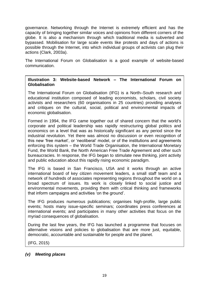governance. Networking through the Internet is extremely efficient and has the capacity of bringing together similar voices and opinions from different corners of the globe. It is also a mechanism through which traditional media is subverted and bypassed. Mobilisation for large scale events like protests and days of actions is possible through the Internet, into which individual groups of activists can plug their actions (Clark, 2003a).

The International Forum on Globalisation is a good example of website-based communication.

#### **Illustration 3: Website-based Network – The International Forum on Globalisation**

The International Forum on Globalisation (IFG) is a North–South research and educational institution composed of leading economists, scholars, civil society activists and researchers (60 organisations in 25 countries) providing analyses and critiques on the cultural, social, political and environmental impacts of economic globalisation.

Formed in 1994, the IFG came together out of shared concern that the world's corporate and political leadership was rapidly restructuring global politics and economics on a level that was as historically significant as any period since the industrial revolution. Yet there was almost no discussion or even recognition of this new 'free market', or 'neoliberal' model, or of the institutions and agreements enforcing this system – the World Trade Organisation, the International Monetary Fund, the World Bank, the North American Free Trade Agreement and other such bureaucracies. In response, the IFG began to stimulate new thinking, joint activity and public education about this rapidly rising economic paradigm.

The IFG is based in San Francisco, USA and it works through an active international board of key citizen movement leaders, a small staff team and a network of hundreds of associates representing regions throughout the world on a broad spectrum of issues. Its work is closely linked to social justice and environmental movements, providing them with critical thinking and frameworks that inform campaigns and activities 'on the ground'.

The IFG produces numerous publications; organises high-profile, large public events; hosts many issue-specific seminars; coordinates press conferences at international events; and participates in many other activities that focus on the myriad consequences of globalisation.

During the last few years, the IFG has launched a programme that focuses on alternative visions and policies to globalisation that are more just, equitable, democratic, accountable and sustainable for people and the planet.

(IFG, 2015)

#### *(v) Meeting places*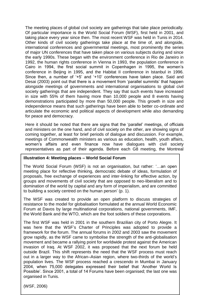The meeting places of global civil society are gatherings that take place periodically. Of particular importance is the World Social Forum (WSF), first held in 2001, and taking place every year since then. The most recent WSF was held in Tunis in 2014. Other kinds of civil society gatherings take place at the time of, and alongside, international conferences and governmental meetings, most prominently the series of major UN conferences that have taken place on various subjects during and since the early 1990s. These began with the environment conference in Rio de Janeiro in 1992, the human rights conference in Vienna in 1993, the population conference in Cairo in 1994, the first social summit in Copenhagen in 1995, the women's conference in Beijing in 1995, and the Habitat II conference in Istanbul in 1996. Since then, a number of '+5' and '+10' conferences have taken place. Said and Desai (2003) point out that there is a movement from 'parallel summits' that happen alongside meetings of governments and international organisations to global civil society gatherings that are independent. They say that such events have increased in size with 55% of them having more than 10,000 people and 8 events having demonstrations participated by more than 50,000 people. This growth in size and independence means that such gatherings have been able to better co-ordinate and articulate the economic and political aspects of development while also demanding for peace and democracy.

Here it should be noted that there are signs that the 'parallel' meetings, of officials and ministers on the one hand, and of civil society on the other, are showing signs of coming together, at least for brief periods of dialogue and discussion. For example, meetings of Commonwealth ministers as various as education, health, youth affairs, women's affairs and even finance now have dialogues with civil society representatives as part of their agenda. Before each G8 meeting, the Montreal

#### **Illustration 4: Meeting places – World Social Forum**

The World Social Forum (WSF) is not an organisation, but rather: '…an open meeting place for reflective thinking, democratic debate of ideas, formulation of proposals, free exchange of experiences and inter-linking for effective action, by groups and movements of civil society that are opposed to neo-liberalism and to domination of the world by capital and any form of imperialism, and are committed to building a society centred on the human person' (p. 1).

The WSF was created to provide an open platform to discuss strategies of resistance to the model for globalisation formulated at the annual World Economic Forum at Davos by large multinational corporations, national governments, IMF, the World Bank and the WTO, which are the foot soldiers of these corporations.

The first WSF was held in 2001 in the southern Brazilian city of Porto Alegre. It was here that the WSF's Charter of Principles was adopted to provide a framework for the forum. The annual forums in 2002 and 2003 saw the movement grow rapidly, as the WSF came to symbolise the strength of the anti-globalisation movement and became a rallying point for worldwide protest against the American invasion of Iraq. At WSF 2002, it was proposed that the next forum be held outside Brazil. This shift represents the need that the WSF process must reach out in a larger way to the African–Asian region, where two-thirds of the world's population lives. The WSF process reached a crescendo in Mumbai in January 2004, when 75,000 delegates expressed their belief that 'Another World Is Possible'. Since 2001, a total of 14 Forums have been organised; the last one was organised in Tunis.

(WSF, 2006)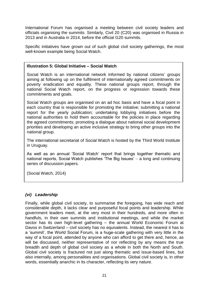International Forum has organised a meeting between civil society leaders and officials organising the summits. Similarly, Civil 20 (C20) was organised in Russia in 2013 and in Australia in 2014, before the official G20 summits.

Specific initiatives have grown out of such global civil society gatherings, the most well-known example being Social Watch.

#### **Illustration 5: Global Initiative – Social Watch**

Social Watch is an international network informed by national citizens' groups aiming at following up on the fulfilment of internationally agreed commitments on poverty eradication and equality. These national groups report, through the national Social Watch report, on the progress or regression towards these commitments and goals.

Social Watch groups are organised on an ad hoc basis and have a focal point in each country that is responsible for promoting the initiative; submitting a national report for the yearly publication; undertaking lobbying initiatives before the national authorities to hold them accountable for the policies in place regarding the agreed commitments; promoting a dialogue about national social development priorities and developing an active inclusive strategy to bring other groups into the national group.

The international secretariat of Social Watch is hosted by the Third World Institute in Uruguay.

As well as an annual 'Social Watch' report that brings together thematic and national reports, Social Watch publishes 'The Big Issues' – a long and continuing series of discussion papers.

(Social Watch, 2014)

#### *(vi) Leadership*

Finally, while global civil society, to summarise the foregoing, has wide reach and considerable depth, it lacks clear and purposeful focal points and leadership. While government leaders meet, at the very most in their hundreds, and more often in handfuls, in their own summits and institutional meetings, and while the market sector has its own high-level gathering – the annual World Economic Forum at Davos in Switzerland – civil society has no equivalents. Instead, the nearest it has to a 'summit', the World Social Forum, is a huge-scale gathering with very little in the way of a focal point, attended by anyone who can afford to get there and, hence, as will be discussed, neither representative of nor reflecting by any means the true breadth and depth of global civil society as a whole in both the North and South. Global civil society is fractured not just along thematic and issue-based lines, but also internally, among personalities and organisations. Global civil society is, in other words, essentially anarchic in its character, reflecting its very nature.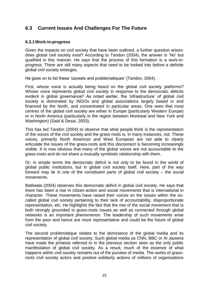## **6.3 Current Issues And Challenges For The Future**

#### **6.3.1Work-in-progress**

Given the impacts on civil society that have been outlined, a further question arises: does global civil society exist? According to Tandon (2004), the answer is 'No' but qualified in this manner. He says that the process of this formation is a work-inprogress. There are still many aspects that need to be looked into before a definite global civil society emerges.

He goes on to list these 'caveats and problematiques' (Tandon, 2004).

First, whose voice is actually being heard on the global civil society platforms? Whose voice represents global civil society in response to the democratic deficits evident in global governance? As noted earlier, the 'infrastructure' of global civil society is dominated by INGOs and global associations largely based in and financed by the North, and concentrated in particular areas. One sees that most centres of the global civil society are either in Europe (particularly Western Europe) or in North America (particularly in the region between Montreal and New York and Washington) (Said & Desai, 2003).

This has led Tandon (2004) to observe that what people think is the representation of the voices of the civil society and the grass-roots is, in many instances, not. These voices, primarily North American and West European are not able to clearly articulate the issues of the grass-roots and this disconnect is becoming increasingly visible. It is now obvious that many of the global voices are not accountable to the grass-roots and do not share a mutually symbiotic relationship with them.

Or, in simple terms the democratic deficit is not only to be found in the world of global public institutions, but in global civil society itself. Here, part of the way forward may lie in one of the constituent parts of global civil society – the social movements.

Batliwala (2004) observes this democratic deficit in global civil society. He says that there has been a rise in citizen-action and social movements that is international in character. These movements have raised their voices on the issues within the socalled global civil society pertaining to their lack of accountability, disproportionate representation, etc. He highlights the fact that the rise of the social movement that is both strongly grounded in grass-roots issues as well as connected through global networks is an important phenomenon. The leadership of such movements arise from the poor and hence are more representative and could be the future of global civil society.

The second problematique relates to the dominance of the global media and its representation of global civil society. Such global media as CNN, BBC or Al Jazeera have made the protests referred to in the previous section seen as the only public manifestation of global civil society. As a result, much of the essence of what happens within civil society remains out of the purview of media. The works of grassroots civil society actors and positive solidarity actions of millions of organisations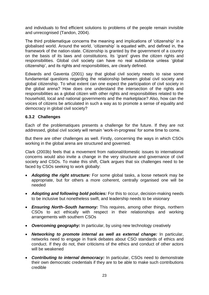and individuals to find efficient solutions to problems of the people remain invisible and unrecognised (Tandon, 2004).

The third problematique concerns the meaning and implications of 'citizenship' in a globalised world. Around the world, 'citizenship' is equated with, and defined in, the framework of the nation-state. Citizenship is granted by the government of a country on the basis of its laws and constitutions. Its 'grant' gives the citizen rights and responsibilities. Global civil society can have no real substance unless 'global citizenship', and its rights and responsibilities, are clearly defined.

Edwards and Gaventa (2001) say that global civil society needs to raise some fundamental questions regarding the relationship between global civil society and global citizenship. To what extent can one expect the participation of civil society in the global arena? How does one understand the intersection of the rights and responsibilities as a global citizen with other rights and responsibilities related to the household, local and national governments and the marketplace? Also, how can the voices of citizens be articulated in such a way as to promote a sense of equality and democracy in global civil society?

#### **6.3.2 Challenges**

Each of the problematiques presents a challenge for the future. If they are not addressed, global civil society will remain 'work-in-progress' for some time to come.

But there are other challenges as well. Firstly, concerning the ways in which CSOs working in the global arena are structured and governed.

Clark (2003b) feels that a movement from national/domestic issues to international concerns would also invite a change in the very structure and governance of civil society and CSOs. To make this shift, Clark argues that six challenges need to be faced by CSOs seeking to work globally:

- *Adopting the right structure:* For some global tasks, a loose network may be appropriate, but for others a more coherent, centrally organised one will be needed
- *Adopting and following bold policies:* For this to occur, decision-making needs to be inclusive but nonetheless swift, and leadership needs to be visionary
- *Ensuring North–South harmony:* This requires, among other things, northern CSOs to act ethically with respect in their relationships and working arrangements with southern CSOs
- *Overcoming geography:* In particular, by using new technology creatively
- *Networking to promote internal as well as external change:* In particular, networks need to engage in frank debates about CSO standards of ethics and conduct. If they do not, their criticisms of the ethics and conduct of other actors will be weakened
- *Contributing to internal democracy:* In particular, CSOs need to demonstrate their own democratic credentials if they are to be able to make such contributions credible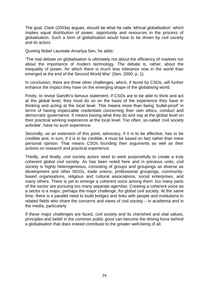The goal, Clark (2003a) argues, should be what he calls 'ethical globalisation' which implies equal distribution of power, opportunity and resources in the process of globalisation. Such a form of globalisation would have to be driven by civil society and its actors.

Quoting Nobel Laureate Amartya Sen, he adds:

'The real debate on globalisation is ultimately not about the efficiency of markets nor about the importance of modern technology. The debate is, rather, about the inequality of power, for which there is much less tolerance now in the world than emerged at the end of the Second World War' (Sen, 2000, p. 1).

In conclusion, there are three other challenges, which, if faced by CSOs, will further enhance the impact they have on the emerging shape of the globalising world.

Firstly, to revise Gandhi's famous statement, if CSOs are to be able to think and act at the global level, they must do so on the basis of the experience they have in thinking and acting at the local level. This means more than being 'bullet-proof' in terms of having impeccable credentials concerning their own ethics, conduct and democratic governance. It means basing what they do and say at the global level on their practical working experience at the local level. Too often, so-called 'civil society activists', have no such experience.

Secondly, as an extension of this point, advocacy, if it is to be effective, has to be credible and, in turn, if it is to be credible, it must be based on fact rather than mere personal opinion. That means CSOs founding their arguments as well as their actions on research and practical experience.

Thirdly, and finally, civil society actors need to work purposefully to create a truly coherent global civil society. As has been noted here and in previous units, civil society is highly heterogeneous, consisting of groups and groupings as diverse as development and other NGOs, trade unions, professional groupings, communitybased organisations, religious and cultural associations, social enterprises, and many others. There is yet to emerge a coherent voice among them: too many parts of the sector are pursuing too many separate agendas. Creating a coherent voice as a sector is a major, perhaps the major challenge, for global civil society. At the same time, there is a parallel need to build bridges and links with people and institutions in related fields who share the concerns and views of civil society – in academia and in the media, particularly.

If these major challenges are faced, civil society and its cherished and vital values, principles and belief in the common public good can become the driving force behind a globalisation that does indeed contribute to the greater well-being of all.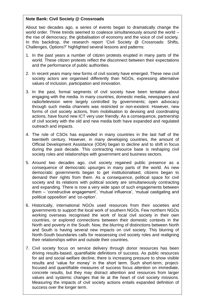#### **Note Bank: Civil Society @ Crossroads**

About two decades ago, a series of events began to dramatically change the world order. Three trends seemed to coalesce simultaneously around the world – the rise of democracy, the globalisation of economy and the voice of civil society. In this backdrop, the research report 'Civil Society @ Crossroads: Shifts, Challenges, Options?' highlighted several lessons and patterns:

- 1. In the past years a number of citizen protests erupted in many parts of the world. These citizen protests reflect the disconnect between their expectations and the performance of public authorities.
- 2. In recent years many new forms of civil society have emerged. These new civil society actors are organised differently than NGOs, expressing alternative values of inclusion, participation and innovation.
- 3. In the past, formal segments of civil society have been tentative about engaging with the media. In many countries, domestic media, newspapers and radio/television were largely controlled by governments; open advocacy through such media channels was restricted or non-existent. However, new forms of civil society actions, from mobilisation to devising and coordinating actions, have found new ICT very user friendly. As a consequence, partnership of civil society with the old and new media both have expanded and regulated outreach and impacts.
- 4. The role of CSOs has expanded in many countries in the last half of the twentieth century. However, in many developing countries, the amount of Official Development Assistance (ODA) began to decline and to shift in focus during the past decade. This contracting resource base is reshaping civil society roles and relationships with government and business sectors.
- 5. Around two decades ago, civil society regained public presence as a consequence of democratic upsurges in many parts of the world. As new democratic governments began to get institutionalised, citizens began to demand their rights from them. As a consequence, political space for civil society and its relations with political society are simultaneously contracting and expanding. There is now a very wide span of such engagements between them – 'constructive engagement', 'mutual influence', 'mutual castigating and political opposition' and 'co-option'.
- 6. Historically, international NGOs used resources from their societies and governments to support the local work of southern NGOs. Few northern NGOs working overseas recognised the work of local civil society in their own countries, or explored connections between their domestic contexts in the North and poverty in the South. Now, the blurring of distinctions between North and South is having several new impacts on civil society. This blurring of North-South boundaries calls for reassessing civil society roles and realigning their relationships within and outside their countries.
- 25 values and systemic changes that lie at the heart of civil society missions. 7. Civil society focus on service delivery through donor resources has been driving results-based, quantifiable definitions of success. As public resources for aid and social welfare decline, there is increasing pressure to show visible results and 'value for money' in the short term. Such short-term, projectfocused and quantifiable measures of success focus attention on immediate, concrete results, but they may distract attention and resources from larger Measuring the impacts of civil society actions entails expanded definition of success over the longer term.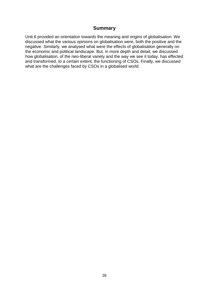### **Summary**

Unit 6 provided an orientation towards the meaning and origins of globalisation. We discussed what the various opinions on globalisation were, both the positive and the negative. Similarly, we analysed what were the effects of globalisation generally on the economic and political landscape. But, in more depth and detail, we discussed how globalisation, of the neo-liberal variety and the way we see it today, has effected and transformed, to a certain extent, the functioning of CSOs. Finally, we discussed what are the challenges faced by CSOs in a globalised world.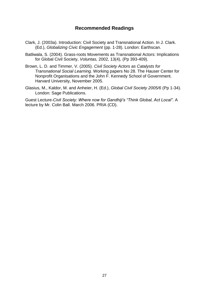## **Recommended Readings**

- Clark, J. (2003a). Introduction: Civil Society and Transnational Action. In J. Clark. (Ed.), *Globalizing Civic Engagement* (pp. 1-28). London: Earthscan.
- Batliwala, S. (2004). Grass-roots Movements as Transnational Actors: Implications for Global Civil Society, *Voluntas,* 2002, 13(4), (Pp 393-409).
- Brown, L. D. and Timmer, V. (2005). *Civil Society Actors as Catalysts for Transnational Social Learning.* Working papers No 28. The Hauser Center for Nonprofit Organisations and the John F. Kennedy School of Government. Harvard University, November 2005.
- Glasius, M., Kaldor, M. and Anheier, H. (Ed.), *Global Civil Society 2005/6* (Pp 1-34). London: Sage Publications.

Guest Lecture*-Civil Society: Where now for Gandhiji's "Think Global, Act Local".* A lecture by Mr. Colin Ball. March 2006. PRIA (CD).